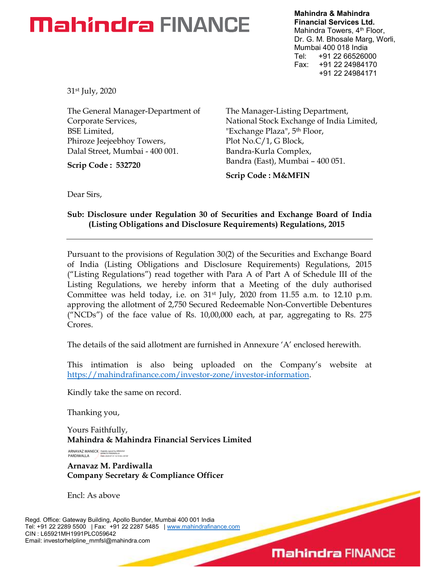## **Mahindra FINANCE**

Mahindra & Mahindra Financial Services Ltd. Mahindra Towers, 4<sup>th</sup> Floor, Dr. G. M. Bhosale Marg, Worli, Mumbai 400 018 India Tel: +91 22 66526000 Fax: +91 22 24984170 +91 22 24984171

31st July, 2020

The General Manager-Department of Corporate Services, BSE Limited, Phiroze Jeejeebhoy Towers, Dalal Street, Mumbai - 400 001.

Scrip Code : 532720

The Manager-Listing Department, National Stock Exchange of India Limited, "Exchange Plaza", 5<sup>th</sup> Floor, Plot No.C/1, G Block, Bandra-Kurla Complex, Bandra (East), Mumbai – 400 051.

Scrip Code : M&MFIN

Dear Sirs,

### Sub: Disclosure under Regulation 30 of Securities and Exchange Board of India (Listing Obligations and Disclosure Requirements) Regulations, 2015

Pursuant to the provisions of Regulation 30(2) of the Securities and Exchange Board of India (Listing Obligations and Disclosure Requirements) Regulations, 2015 ("Listing Regulations") read together with Para A of Part A of Schedule III of the Listing Regulations, we hereby inform that a Meeting of the duly authorised Committee was held today, i.e. on  $31<sup>st</sup>$  July, 2020 from 11.55 a.m. to 12.10 p.m. approving the allotment of 2,750 Secured Redeemable Non-Convertible Debentures ("NCDs") of the face value of Rs. 10,00,000 each, at par, aggregating to Rs. 275 Crores.

The details of the said allotment are furnished in Annexure 'A' enclosed herewith.

This intimation is also being uploaded on the Company's website at https://mahindrafinance.com/investor-zone/investor-information.

Kindly take the same on record.

Thanking you,

Yours Faithfully, Mahindra & Mahindra Financial Services Limited

ARNAVAZ MANECK PARDIWALLA Digitally signed by ARNAVAZ MANECK PARDIWALLA Date: 2020.07.31 12:14:36 +05'30'

Arnavaz M. Pardiwalla Company Secretary & Compliance Officer

Encl: As above

Regd. Office: Gateway Building, Apollo Bunder, Mumbai 400 001 India Tel: +91 22 2289 5500 | Fax: +91 22 2287 5485 | www.mahindrafinance.com CIN : L65921MH1991PLC059642 Email: investorhelpline\_mmfsl@mahindra.com

### **Mahindra FINANCE**

 $\overline{\phantom{0}}$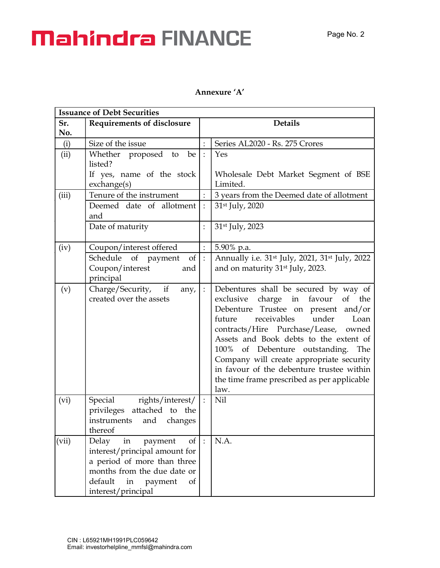# **Mahindra FINANCE**

### Annexure 'A'

| <b>Issuance of Debt Securities</b> |                                                                                                                                                                                             |                                      |                                                                                                                                                                                                                                                                                                                                                                                                                                           |  |
|------------------------------------|---------------------------------------------------------------------------------------------------------------------------------------------------------------------------------------------|--------------------------------------|-------------------------------------------------------------------------------------------------------------------------------------------------------------------------------------------------------------------------------------------------------------------------------------------------------------------------------------------------------------------------------------------------------------------------------------------|--|
| Sr.<br>No.                         | <b>Requirements of disclosure</b>                                                                                                                                                           |                                      | <b>Details</b>                                                                                                                                                                                                                                                                                                                                                                                                                            |  |
| (i)                                | Size of the issue                                                                                                                                                                           |                                      | Series AL2020 - Rs. 275 Crores                                                                                                                                                                                                                                                                                                                                                                                                            |  |
| (ii)                               | Whether proposed to<br>be<br>listed?<br>If yes, name of the stock                                                                                                                           | $\cdot$                              | Yes<br>Wholesale Debt Market Segment of BSE                                                                                                                                                                                                                                                                                                                                                                                               |  |
|                                    | exchange(s)                                                                                                                                                                                 |                                      | Limited.                                                                                                                                                                                                                                                                                                                                                                                                                                  |  |
| (iii)                              | Tenure of the instrument                                                                                                                                                                    |                                      | 3 years from the Deemed date of allotment                                                                                                                                                                                                                                                                                                                                                                                                 |  |
|                                    | Deemed date of allotment<br>and                                                                                                                                                             |                                      | 31st July, 2020                                                                                                                                                                                                                                                                                                                                                                                                                           |  |
|                                    | Date of maturity                                                                                                                                                                            |                                      | 31 <sup>st</sup> July, 2023                                                                                                                                                                                                                                                                                                                                                                                                               |  |
| (iv)                               | Coupon/interest offered                                                                                                                                                                     |                                      | 5.90% p.a.                                                                                                                                                                                                                                                                                                                                                                                                                                |  |
|                                    | of $ $ :<br>Schedule of payment<br>Coupon/interest<br>and<br>principal                                                                                                                      |                                      | Annually i.e. 31 <sup>st</sup> July, 2021, 31 <sup>st</sup> July, 2022<br>and on maturity 31 <sup>st</sup> July, 2023.                                                                                                                                                                                                                                                                                                                    |  |
| (v)                                | Charge/Security, if<br>any,<br>created over the assets                                                                                                                                      | $\ddot{\ddot{\phantom{}}\phantom{}}$ | Debentures shall be secured by way of<br>exclusive charge in favour<br>of the<br>Debenture Trustee on present and/or<br>receivables<br>under<br>future<br>Loan<br>contracts/Hire Purchase/Lease, owned<br>Assets and Book debts to the extent of<br>100% of Debenture outstanding.<br>The<br>Company will create appropriate security<br>in favour of the debenture trustee within<br>the time frame prescribed as per applicable<br>law. |  |
| (vi)                               | Special rights/interest/<br>privileges attached to the<br>instruments<br>and changes<br>thereof                                                                                             |                                      | Nil                                                                                                                                                                                                                                                                                                                                                                                                                                       |  |
| (vii)                              | Delay<br>$\sigma f$<br>in<br>payment<br>interest/principal amount for<br>a period of more than three<br>months from the due date or<br>default<br>in<br>payment<br>of<br>interest/principal | $\mathbf{E}$                         | N.A.                                                                                                                                                                                                                                                                                                                                                                                                                                      |  |